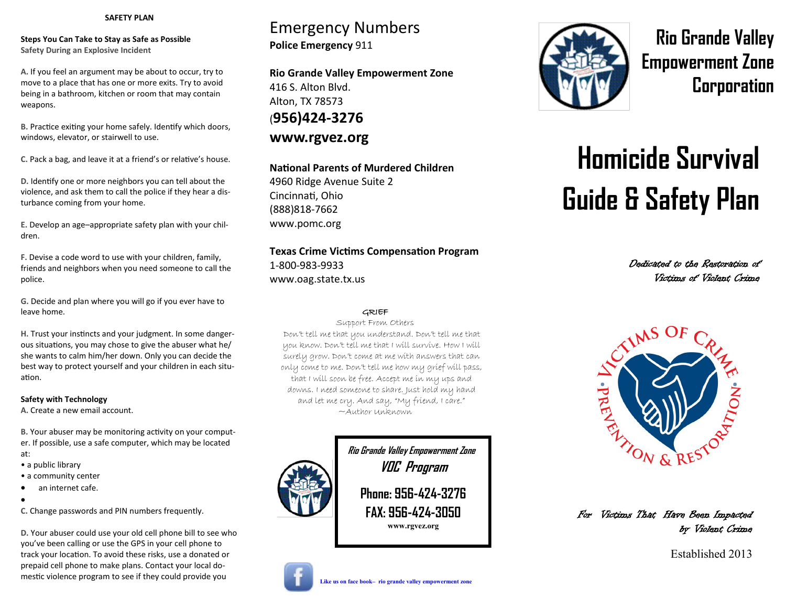### **SAFETY PLAN**

**Steps You Can Take to Stay as Safe as Possible Safety During an Explosive Incident**

**A.** If you feel an argument may be about to occur, try to move to a place that has one or more exits. Try to avoid being in a bathroom, kitchen or room that may contain weapons.

**B.** Practice exiting your home safely. Identify which doors, windows, elevator, or stairwell to use.

**C.** Pack a bag, and leave it at a friend's or relative's house.

**D.** Identify one or more neighbors you can tell about the violence, and ask them to call the police if they hear a disturbance coming from your home.

**E.** Develop an age–appropriate safety plan with your children.

**F.** Devise a code word to use with your children, family, friends and neighbors when you need someone to call the police.

**G.** Decide and plan where you will go if you ever have to leave home.

**H.** Trust your instincts and your judgment. In some dangerous situations, you may chose to give the abuser what he/ she wants to calm him/her down. Only you can decide the best way to protect yourself and your children in each situation.

### **Safety with Technology**

**A.** Create a new email account.

**B.** Your abuser may be monitoring activity on your computer. If possible, use a safe computer, which may be located

- at:
- a public library
- a community center
- an internet cafe.
- $\bullet$

**C.** Change passwords and PIN numbers frequently.

**D.** Your abuser could use your old cell phone bill to see who you've been calling or use the GPS in your cell phone to track your location. To avoid these risks, use a donated or prepaid cell phone to make plans. Contact your local domestic violence program to see if they could provide you

## Emergency Numbers **Police Emergency** 911

**Rio Grande Valley Empowerment Zone** 416 S. Alton Blvd. Alton, TX 78573 (**956)424-3276 www.rgvez.org**

### **National Parents of Murdered Children**

4960 Ridge Avenue Suite 2 Cincinnati, Ohio (888)818-7662 www.pomc.org

## **Texas Crime Victims Compensation Program** 1-800-983-9933

www.oag.state.tx.us

### GRIEF

Support From Others

 Don't tell me that you understand. Don't tell me that you know. Don't tell me that I will survive. How I will surely grow. Don't come at me with answers that can only come to me. Don't tell me how my grief will pass, that I will soon be free. Accept me in my ups and downs. I need someone to share. Just hold my hand and let me cry. And say, "My friend, I care." ~Author Unknown





**Rio Grande Valley Empowerment Zone Corporation** 

# **Homicide Survival Guide & Safety Plan**

Dedicated to the Restoration of Victims of Violent Crime



For Victims That Have Been Impacted by Violent Crime

Established 2013